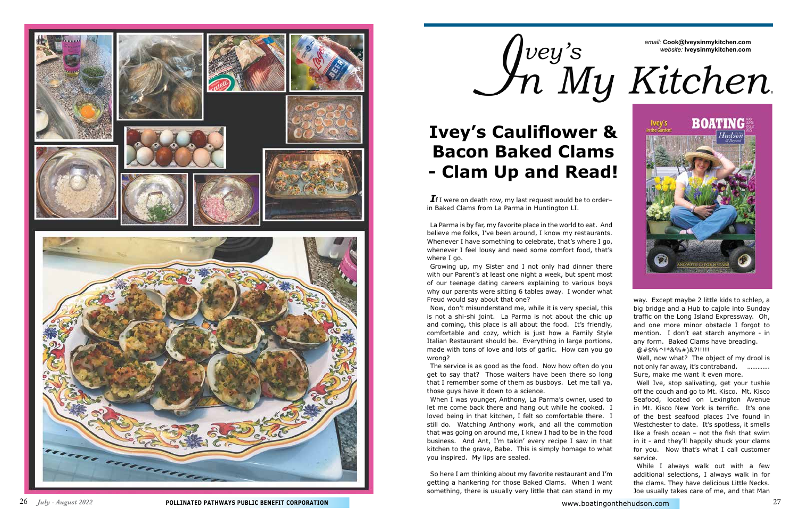26 *July - August 2022* **POLLINATED PATHWAYS PUBLIC BENEFIT CORPORATION** www.boatingonthehudson.com 27

### *email:* **Cook@Iveysinmykitchen.com**  *website:* **Iveysinmykitchen.com**



*I*f I were on death row, my last request would be to order– in Baked Clams from La Parma in Huntington LI.

La Parma is by far, my favorite place in the world to eat. And believe me folks, I've been around, I know my restaurants. Whenever I have something to celebrate, that's where I go, whenever I feel lousy and need some comfort food, that's where I go.

Growing up, my Sister and I not only had dinner there with our Parent's at least one night a week, but spent most of our teenage dating careers explaining to various boys why our parents were sitting 6 tables away. I wonder what Freud would say about that one?

Now, don't misunderstand me, while it is very special, this is not a shi-shi joint. La Parma is not about the chic up and coming, this place is all about the food. It's friendly, comfortable and cozy, which is just how a Family Style Italian Restaurant should be. Everything in large portions, made with tons of love and lots of garlic. How can you go wrong?

The service is as good as the food. Now how often do you get to say that? Those waiters have been there so long that I remember some of them as busboys. Let me tall ya, those guys have it down to a science.

When I was younger, Anthony, La Parma's owner, used to let me come back there and hang out while he cooked. I loved being in that kitchen, I felt so comfortable there. I still do. Watching Anthony work, and all the commotion that was going on around me, I knew I had to be in the food business. And Ant, I'm takin' every recipe I saw in that kitchen to the grave, Babe. This is simply homage to what you inspired. My lips are sealed.

So here I am thinking about my favorite restaurant and I'm getting a hankering for those Baked Clams. When I want something, there is usually very little that can stand in my

way. Except maybe 2 little kids to schlep, a big bridge and a Hub to cajole into Sunday traffic on the Long Island Expressway. Oh, and one more minor obstacle I forgot to mention. I don't eat starch anymore - in any form. Baked Clams have breading.

@#\$%^!\*&%#)&?!!!!!

Well, now what? The object of my drool is not only far away, it's contraband. …………. Sure, make me want it even more.

Well Ive, stop salivating, get your tushie off the couch and go to Mt. Kisco. Mt. Kisco Seafood, located on Lexington Avenue in Mt. Kisco New York is terrific. It's one of the best seafood places I've found in Westchester to date. It's spotless, it smells like a fresh ocean – not the fish that swim in it - and they'll happily shuck your clams for you. Now that's what I call customer service.

While I always walk out with a few additional selections, I always walk in for the clams. They have delicious Little Necks. Joe usually takes care of me, and that Man



# **Ivey's Cauliflower & Bacon Baked Clams - Clam Up and Read!**